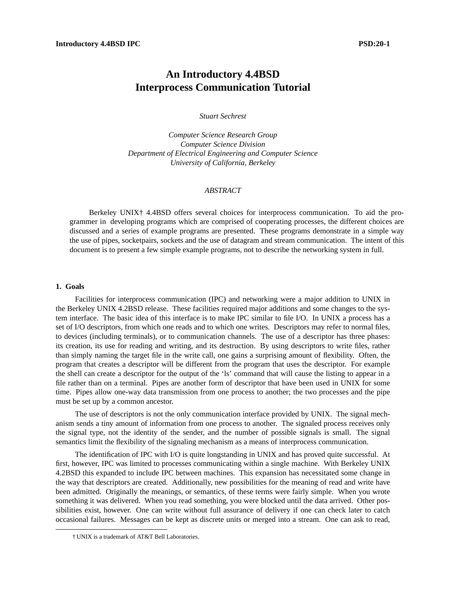# **An Introductory 4.4BSD Interprocess Communication Tutorial**

*Stuart Sechrest*

*Computer Science Research Group Computer Science Division Department of Electrical Engineering and Computer Science University of California, Berkeley*

# *ABSTRACT*

Berkeley UNIX† 4.4BSD offers several choices for interprocess communication. To aid the programmer in developing programs which are comprised of cooperating processes, the different choices are discussed and a series of example programs are presented. These programs demonstrate in a simple way the use of pipes, socketpairs, sockets and the use of datagram and stream communication. The intent of this document is to present a few simple example programs, not to describe the networking system in full.

#### **1. Goals**

Facilities for interprocess communication (IPC) and networking were a major addition to UNIX in the Berkeley UNIX 4.2BSD release. These facilities required major additions and some changes to the system interface. The basic idea of this interface is to make IPC similar to file I/O. In UNIX a process has a set of I/O descriptors, from which one reads and to which one writes. Descriptors may refer to normal files, to devices (including terminals), or to communication channels. The use of a descriptor has three phases: its creation, its use for reading and writing, and its destruction. By using descriptors to write files, rather than simply naming the target file in the write call, one gains a surprising amount of flexibility. Often, the program that creates a descriptor will be different from the program that uses the descriptor. For example the shell can create a descriptor for the output of the 'ls' command that will cause the listing to appear in a file rather than on a terminal. Pipes are another form of descriptor that have been used in UNIX for some time. Pipes allow one-way data transmission from one process to another; the two processes and the pipe must be set up by a common ancestor.

The use of descriptors is not the only communication interface provided by UNIX. The signal mechanism sends a tiny amount of information from one process to another. The signaled process receives only the signal type, not the identity of the sender, and the number of possible signals is small. The signal semantics limit the flexibility of the signaling mechanism as a means of interprocess communication.

The identification of IPC with I/O is quite longstanding in UNIX and has proved quite successful. At first, however, IPC was limited to processes communicating within a single machine. With Berkeley UNIX 4.2BSD this expanded to include IPC between machines. This expansion has necessitated some change in the way that descriptors are created. Additionally, new possibilities for the meaning of read and write have been admitted. Originally the meanings, or semantics, of these terms were fairly simple. When you wrote something it was delivered. When you read something, you were blocked until the data arrived. Other possibilities exist, however. One can write without full assurance of delivery if one can check later to catch occasional failures. Messages can be kept as discrete units or merged into a stream. One can ask to read,

<sup>†</sup> UNIX is a trademark of AT&T Bell Laboratories.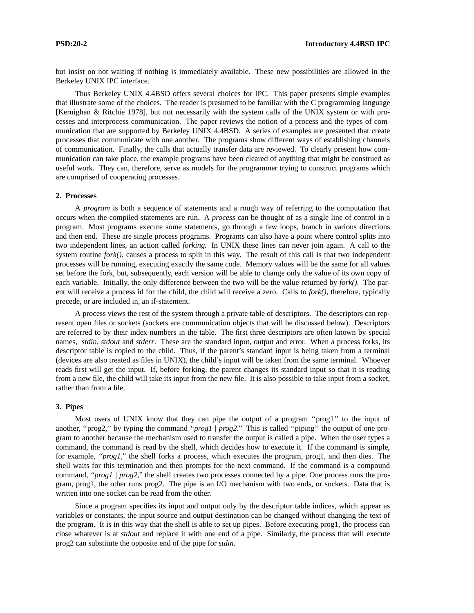but insist on not waiting if nothing is immediately available. These new possibilities are allowed in the Berkeley UNIX IPC interface.

Thus Berkeley UNIX 4.4BSD offers several choices for IPC. This paper presents simple examples that illustrate some of the choices. The reader is presumed to be familiar with the C programming language [Kernighan & Ritchie 1978], but not necessarily with the system calls of the UNIX system or with processes and interprocess communication. The paper reviews the notion of a process and the types of communication that are supported by Berkeley UNIX 4.4BSD. A series of examples are presented that create processes that communicate with one another. The programs show different ways of establishing channels of communication. Finally, the calls that actually transfer data are reviewed. To clearly present how communication can take place, the example programs have been cleared of anything that might be construed as useful work. They can, therefore, serve as models for the programmer trying to construct programs which are comprised of cooperating processes.

### **2. Processes**

A *program* is both a sequence of statements and a rough way of referring to the computation that occurs when the compiled statements are run. A *process* can be thought of as a single line of control in a program. Most programs execute some statements, go through a few loops, branch in various directions and then end. These are single process programs. Programs can also have a point where control splits into two independent lines, an action called *forking.* In UNIX these lines can never join again. A call to the system routine *fork()*, causes a process to split in this way. The result of this call is that two independent processes will be running, executing exactly the same code. Memory values will be the same for all values set before the fork, but, subsequently, each version will be able to change only the value of its own copy of each variable. Initially, the only difference between the two will be the value returned by *fork().* The parent will receive a process id for the child, the child will receive a zero. Calls to *fork(),* therefore, typically precede, or are included in, an if-statement.

A process views the rest of the system through a private table of descriptors. The descriptors can represent open files or sockets (sockets are communication objects that will be discussed below). Descriptors are referred to by their index numbers in the table. The first three descriptors are often known by special names, *stdin, stdout* and *stderr*. These are the standard input, output and error. When a process forks, its descriptor table is copied to the child. Thus, if the parent's standard input is being taken from a terminal (devices are also treated as files in UNIX), the child's input will be taken from the same terminal. Whoever reads first will get the input. If, before forking, the parent changes its standard input so that it is reading from a new file, the child will take its input from the new file. It is also possible to take input from a socket, rather than from a file.

## **3. Pipes**

Most users of UNIX know that they can pipe the output of a program "prog1" to the input of another, "prog2," by typing the command "prog1 | prog2." This is called "piping" the output of one program to another because the mechanism used to transfer the output is called a pipe. When the user types a command, the command is read by the shell, which decides how to execute it. If the command is simple, for example, *''prog1,''* the shell forks a process, which executes the program, prog1, and then dies. The shell waits for this termination and then prompts for the next command. If the command is a compound command, *''prog1* / prog2," the shell creates two processes connected by a pipe. One process runs the program, prog1, the other runs prog2. The pipe is an I/O mechanism with two ends, or sockets. Data that is written into one socket can be read from the other.

Since a program specifies its input and output only by the descriptor table indices, which appear as variables or constants, the input source and output destination can be changed without changing the text of the program. It is in this way that the shell is able to set up pipes. Before executing prog1, the process can close whatever is at *stdout* and replace it with one end of a pipe. Similarly, the process that will execute prog2 can substitute the opposite end of the pipe for *stdin.*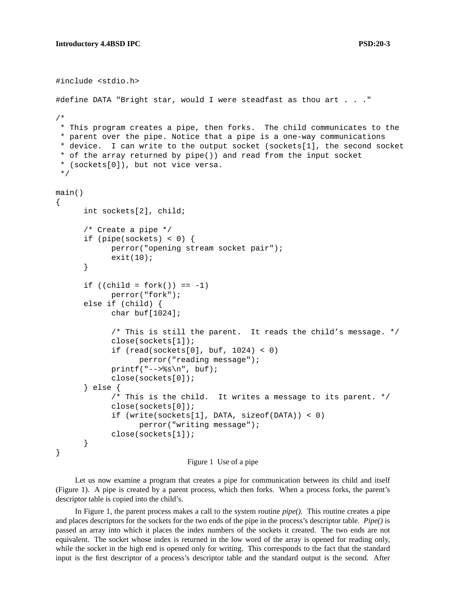```
#include <stdio.h>
#define DATA "Bright star, would I were steadfast as thou art . . ."
/*
 * This program creates a pipe, then forks. The child communicates to the
 * parent over the pipe. Notice that a pipe is a one-way communications
 * device. I can write to the output socket (sockets[1], the second socket
 * of the array returned by pipe()) and read from the input socket
 * (sockets[0]), but not vice versa.
 */
main()
{
      int sockets[2], child;
      /* Create a pipe */
      if (pipe(sockets) < 0) {
            perror("opening stream socket pair");
            exit(10);}
      if ((child = fork()) == -1)perror("fork");
      else if (child) {
            char buf[1024];
            /* This is still the parent. It reads the child's message. */
            close(sockets[1]);
            if (\text{read}(sockets[0], but, 1024) < 0)perror("reading message");
            printf("--&s\nu", but);close(sockets[0]);
      } else {
            /* This is the child. It writes a message to its parent. */
            close(sockets[0]);
            if (write(sockets[1], DATA, sizeof(DATA)) < 0)
                  perror("writing message");
            close(sockets[1]);
      }
}
```

```
Figure 1 Use of a pipe
```
Let us now examine a program that creates a pipe for communication between its child and itself (Figure 1). A pipe is created by a parent process, which then forks. When a process forks, the parent's descriptor table is copied into the child's.

In Figure 1, the parent process makes a call to the system routine *pipe().* This routine creates a pipe and places descriptors for the sockets for the two ends of the pipe in the process's descriptor table. *Pipe()* is passed an array into which it places the index numbers of the sockets it created. The two ends are not equivalent. The socket whose index is returned in the low word of the array is opened for reading only, while the socket in the high end is opened only for writing. This corresponds to the fact that the standard input is the first descriptor of a process's descriptor table and the standard output is the second. After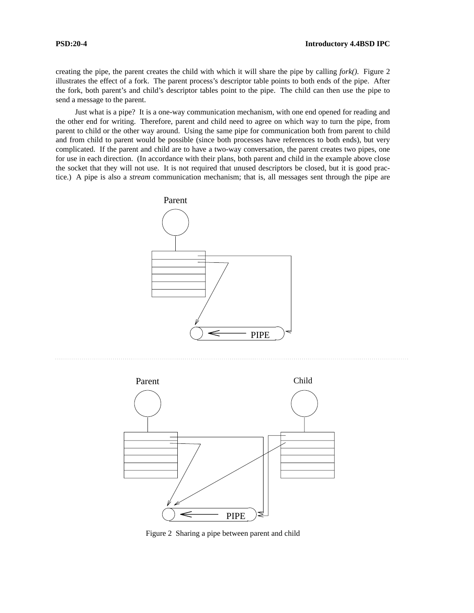creating the pipe, the parent creates the child with which it will share the pipe by calling *fork().* Figure 2 illustrates the effect of a fork. The parent process's descriptor table points to both ends of the pipe. After the fork, both parent's and child's descriptor tables point to the pipe. The child can then use the pipe to send a message to the parent.

Just what is a pipe? It is a one-way communication mechanism, with one end opened for reading and the other end for writing. Therefore, parent and child need to agree on which way to turn the pipe, from parent to child or the other way around. Using the same pipe for communication both from parent to child and from child to parent would be possible (since both processes have references to both ends), but very complicated. If the parent and child are to have a two-way conversation, the parent creates two pipes, one for use in each direction. (In accordance with their plans, both parent and child in the example above close the socket that they will not use. It is not required that unused descriptors be closed, but it is good practice.) A pipe is also a *stream* communication mechanism; that is, all messages sent through the pipe are





Figure 2 Sharing a pipe between parent and child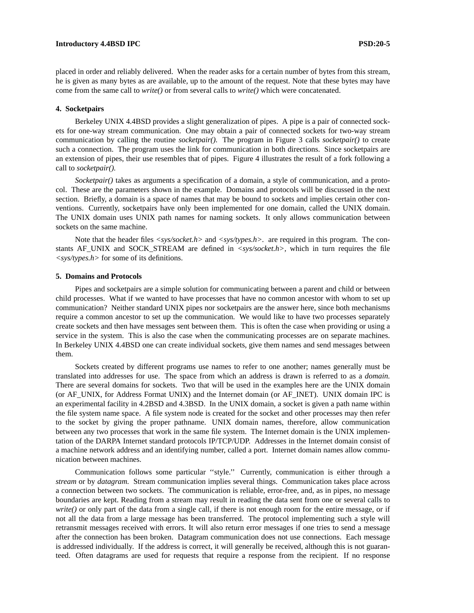#### **Introductory 4.4BSD IPC** PSD:20-5

placed in order and reliably delivered. When the reader asks for a certain number of bytes from this stream, he is given as many bytes as are available, up to the amount of the request. Note that these bytes may have come from the same call to *write()* or from several calls to *write()* which were concatenated.

### **4. Socketpairs**

Berkeley UNIX 4.4BSD provides a slight generalization of pipes. A pipe is a pair of connected sockets for one-way stream communication. One may obtain a pair of connected sockets for two-way stream communication by calling the routine *socketpair().* The program in Figure 3 calls *socketpair()* to create such a connection. The program uses the link for communication in both directions. Since socketpairs are an extension of pipes, their use resembles that of pipes. Figure 4 illustrates the result of a fork following a call to *socketpair().*

*Socketpair()* takes as arguments a specification of a domain, a style of communication, and a protocol. These are the parameters shown in the example. Domains and protocols will be discussed in the next section. Briefly, a domain is a space of names that may be bound to sockets and implies certain other conventions. Currently, socketpairs have only been implemented for one domain, called the UNIX domain. The UNIX domain uses UNIX path names for naming sockets. It only allows communication between sockets on the same machine.

Note that the header files  $\langle sys/socket.h \rangle$  and  $\langle sys/types.h \rangle$ . are required in this program. The constants AF\_UNIX and SOCK\_STREAM are defined in *<sys/socket.h>*, which in turn requires the file *<sys/types.h>* for some of its definitions.

### **5. Domains and Protocols**

Pipes and socketpairs are a simple solution for communicating between a parent and child or between child processes. What if we wanted to have processes that have no common ancestor with whom to set up communication? Neither standard UNIX pipes nor socketpairs are the answer here, since both mechanisms require a common ancestor to set up the communication. We would like to have two processes separately create sockets and then have messages sent between them. This is often the case when providing or using a service in the system. This is also the case when the communicating processes are on separate machines. In Berkeley UNIX 4.4BSD one can create individual sockets, give them names and send messages between them.

Sockets created by different programs use names to refer to one another; names generally must be translated into addresses for use. The space from which an address is drawn is referred to as a *domain.* There are several domains for sockets. Two that will be used in the examples here are the UNIX domain (or AF\_UNIX, for Address Format UNIX) and the Internet domain (or AF\_INET). UNIX domain IPC is an experimental facility in 4.2BSD and 4.3BSD. In the UNIX domain, a socket is given a path name within the file system name space. A file system node is created for the socket and other processes may then refer to the socket by giving the proper pathname. UNIX domain names, therefore, allow communication between any two processes that work in the same file system. The Internet domain is the UNIX implementation of the DARPA Internet standard protocols IP/TCP/UDP. Addresses in the Internet domain consist of a machine network address and an identifying number, called a port. Internet domain names allow communication between machines.

Communication follows some particular ''style.'' Currently, communication is either through a *stream* or by *datagram.* Stream communication implies several things. Communication takes place across a connection between two sockets. The communication is reliable, error-free, and, as in pipes, no message boundaries are kept. Reading from a stream may result in reading the data sent from one or several calls to *write()* or only part of the data from a single call, if there is not enough room for the entire message, or if not all the data from a large message has been transferred. The protocol implementing such a style will retransmit messages received with errors. It will also return error messages if one tries to send a message after the connection has been broken. Datagram communication does not use connections. Each message is addressed individually. If the address is correct, it will generally be received, although this is not guaranteed. Often datagrams are used for requests that require a response from the recipient. If no response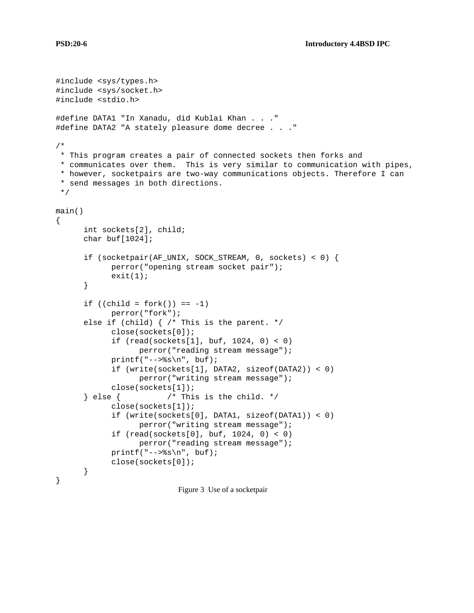```
#include <sys/types.h>
#include <sys/socket.h>
#include <stdio.h>
#define DATA1 "In Xanadu, did Kublai Khan . . ."
#define DATA2 "A stately pleasure dome decree . . ."
/*
 * This program creates a pair of connected sockets then forks and
 * communicates over them. This is very similar to communication with pipes,
 * however, socketpairs are two-way communications objects. Therefore I can
 * send messages in both directions.
 */
main()
{
      int sockets[2], child;
      char buf[1024];
      if (socketpair(AF_UNIX, SOCK_STREAM, 0, sockets) < 0) {
            perror("opening stream socket pair");
            exit(1);}
      if ((child = fork()) == -1)perror("fork");
      else if (child) { /* This is the parent. */
            close(sockets[0]);
            if (read(sockets[1], buf, 1024, 0) < 0)
                  perror("reading stream message");
            printf("-->%s\n", buf);
            if (write(sockets[1], DATA2, sizeof(DATA2)) < 0)
                  perror("writing stream message");
            close(sockets[1]);
      } else { /* This is the child. */close(sockets[1]);
            if (write(sockets[0], DATA1, sizeof(DATA1)) < 0)
                  perror("writing stream message");
            if (read(sockets[0], buf, 1024, 0) < 0)
                  perror("reading stream message");
            printf("--&s\nu", but);close(sockets[0]);
      }
}
                          Figure 3 Use of a socketpair
```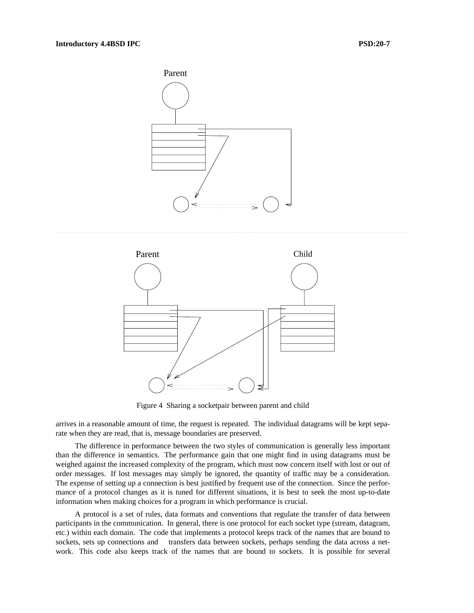



Figure 4 Sharing a socketpair between parent and child

arrives in a reasonable amount of time, the request is repeated. The individual datagrams will be kept separate when they are read, that is, message boundaries are preserved.

The difference in performance between the two styles of communication is generally less important than the difference in semantics. The performance gain that one might find in using datagrams must be weighed against the increased complexity of the program, which must now concern itself with lost or out of order messages. If lost messages may simply be ignored, the quantity of traffic may be a consideration. The expense of setting up a connection is best justified by frequent use of the connection. Since the performance of a protocol changes as it is tuned for different situations, it is best to seek the most up-to-date information when making choices for a program in which performance is crucial.

A protocol is a set of rules, data formats and conventions that regulate the transfer of data between participants in the communication. In general, there is one protocol for each socket type (stream, datagram, etc.) within each domain. The code that implements a protocol keeps track of the names that are bound to sockets, sets up connections and transfers data between sockets, perhaps sending the data across a network. This code also keeps track of the names that are bound to sockets. It is possible for several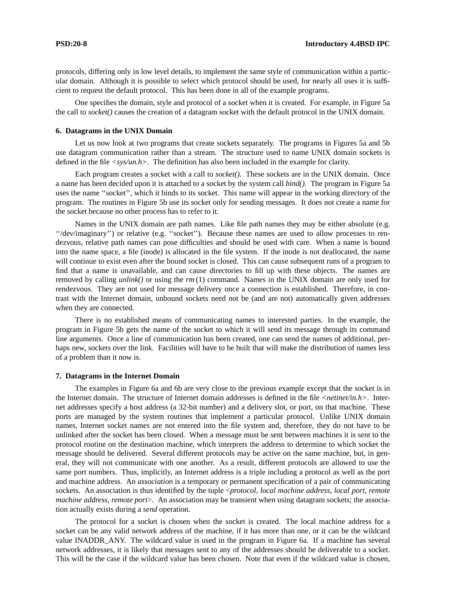protocols, differing only in low level details, to implement the same style of communication within a particular domain. Although it is possible to select which protocol should be used, for nearly all uses it is sufficient to request the default protocol. This has been done in all of the example programs.

One specifies the domain, style and protocol of a socket when it is created. For example, in Figure 5a the call to *socket()* causes the creation of a datagram socket with the default protocol in the UNIX domain.

#### **6. Datagrams in the UNIX Domain**

Let us now look at two programs that create sockets separately. The programs in Figures 5a and 5b use datagram communication rather than a stream. The structure used to name UNIX domain sockets is defined in the file  $\langle sys/un.h \rangle$ . The definition has also been included in the example for clarity.

Each program creates a socket with a call to *socket().* These sockets are in the UNIX domain. Once a name has been decided upon it is attached to a socket by the system call *bind().* The program in Figure 5a uses the name ''socket'', which it binds to its socket. This name will appear in the working directory of the program. The routines in Figure 5b use its socket only for sending messages. It does not create a name for the socket because no other process has to refer to it.

Names in the UNIX domain are path names. Like file path names they may be either absolute (e.g. ''/dev/imaginary'') or relative (e.g. ''socket''). Because these names are used to allow processes to rendezvous, relative path names can pose difficulties and should be used with care. When a name is bound into the name space, a file (inode) is allocated in the file system. If the inode is not deallocated, the name will continue to exist even after the bound socket is closed. This can cause subsequent runs of a program to find that a name is unavailable, and can cause directories to fill up with these objects. The names are removed by calling *unlink()* or using the *rm* (1) command. Names in the UNIX domain are only used for rendezvous. They are not used for message delivery once a connection is established. Therefore, in contrast with the Internet domain, unbound sockets need not be (and are not) automatically given addresses when they are connected.

There is no established means of communicating names to interested parties. In the example, the program in Figure 5b gets the name of the socket to which it will send its message through its command line arguments. Once a line of communication has been created, one can send the names of additional, perhaps new, sockets over the link. Facilities will have to be built that will make the distribution of names less of a problem than it now is.

#### **7. Datagrams in the Internet Domain**

The examples in Figure 6a and 6b are very close to the previous example except that the socket is in the Internet domain. The structure of Internet domain addresses is defined in the file *<netinet/in.h>*. Internet addresses specify a host address (a 32-bit number) and a delivery slot, or port, on that machine. These ports are managed by the system routines that implement a particular protocol. Unlike UNIX domain names, Internet socket names are not entered into the file system and, therefore, they do not have to be unlinked after the socket has been closed. When a message must be sent between machines it is sent to the protocol routine on the destination machine, which interprets the address to determine to which socket the message should be delivered. Several different protocols may be active on the same machine, but, in general, they will not communicate with one another. As a result, different protocols are allowed to use the same port numbers. Thus, implicitly, an Internet address is a triple including a protocol as well as the port and machine address. An *association* is a temporary or permanent specification of a pair of communicating sockets. An association is thus identified by the tuple <*protocol, local machine address, local port, remote machine address, remote port*>. An association may be transient when using datagram sockets; the association actually exists during a *send* operation.

The protocol for a socket is chosen when the socket is created. The local machine address for a socket can be any valid network address of the machine, if it has more than one, or it can be the wildcard value INADDR\_ANY. The wildcard value is used in the program in Figure 6a. If a machine has several network addresses, it is likely that messages sent to any of the addresses should be deliverable to a socket. This will be the case if the wildcard value has been chosen. Note that even if the wildcard value is chosen,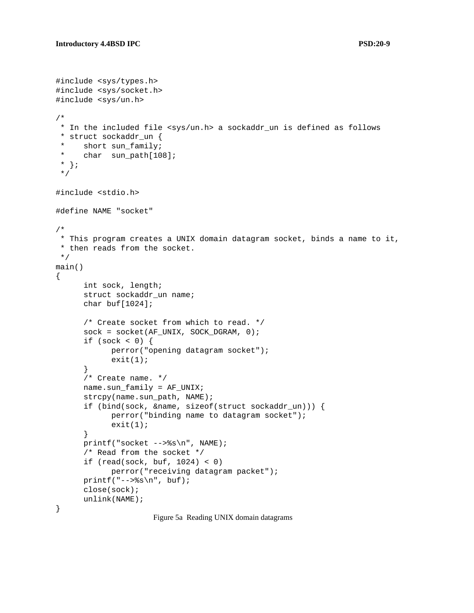```
#include <sys/types.h>
#include <sys/socket.h>
#include <sys/un.h>
/*
 * In the included file <sys/un.h> a sockaddr_un is defined as follows
 * struct sockaddr_un {
 * short sun_family;
 * char sun_path[108];
 * };
 */
#include <stdio.h>
#define NAME "socket"
/*
* This program creates a UNIX domain datagram socket, binds a name to it,
 * then reads from the socket.
 */
main()
{
      int sock, length;
      struct sockaddr_un name;
      char buf[1024];
      /* Create socket from which to read. */
      sock = socket(AF_UNIX, SOCK_DGRAM, 0);
      if (sock < 0) {
            perror("opening datagram socket");
            exit(1);}
      /* Create name. */
     name.sun_family = AF_UNIX;
      strcpy(name.sun_path, NAME);
      if (bind(sock, &name, sizeof(struct sockaddr_un))) {
            perror("binding name to datagram socket");
            exit(1);}
     printf("socket -->%s\n", NAME);
      /* Read from the socket */
      if (read(sock, buf, 1024) < 0)
            perror("receiving datagram packet");
     printf("-->%s\n", buf);
     close(sock);
     unlink(NAME);
}
```
Figure 5a Reading UNIX domain datagrams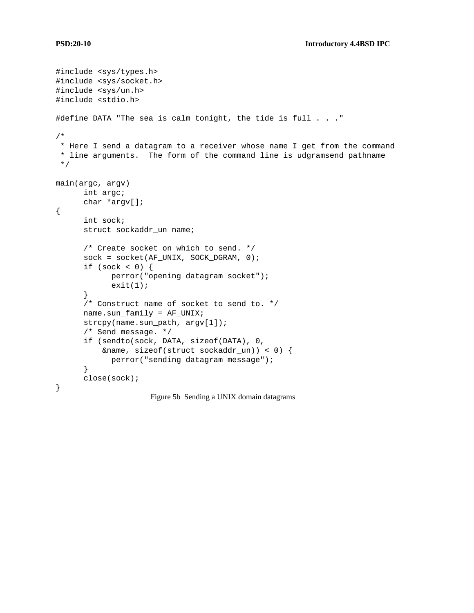```
#include <sys/types.h>
#include <sys/socket.h>
#include <sys/un.h>
#include <stdio.h>
#define DATA "The sea is calm tonight, the tide is full . . ."
/*
* Here I send a datagram to a receiver whose name I get from the command
 * line arguments. The form of the command line is udgramsend pathname
 */
main(argc, argv)
      int argc;
      char *argv[];
{
      int sock;
      struct sockaddr_un name;
      /* Create socket on which to send. */
      sock = socket(AF_UNIX, SOCK_DGRAM, 0);
      if (sock < 0) {
            perror("opening datagram socket");
            exit(1);}
      /* Construct name of socket to send to. */
      name.sun_family = AF_UNIX;
      strcpy(name.sun_path, argv[1]);
      /* Send message. */
      if (sendto(sock, DATA, sizeof(DATA), 0,
          &name, sizeof(struct sockaddr_un)) < 0) {
            perror("sending datagram message");
      }
      close(sock);
}
                     Figure 5b Sending a UNIX domain datagrams
```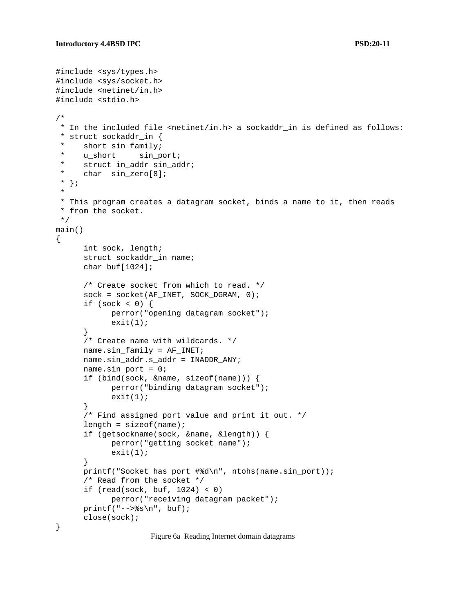```
#include <sys/types.h>
#include <sys/socket.h>
#include <netinet/in.h>
#include <stdio.h>
/*
 * In the included file <netinet/in.h> a sockaddr_in is defined as follows:
 * struct sockaddr_in {
     short sin_family;
 * u_short sin_port;
 * struct in_addr sin_addr;
 * char sin_zero[8];
 * };
 *
 * This program creates a datagram socket, binds a name to it, then reads
 * from the socket.
 */
main()
{
      int sock, length;
      struct sockaddr_in name;
      char buf[1024];
      /* Create socket from which to read. */
      sock = socket(AF_INET, SOCK_DGRAM, 0);
      if (sock \lt 0) {
            perror("opening datagram socket");
            exit(1);}
      /* Create name with wildcards. */
     name.sin_family = AF_INET;
     name.sin_addr.s_addr = INADDR_ANY;
     name.sin_port = 0;if (bind(sock, &name, sizeof(name))) {
            perror("binding datagram socket");
            exit(1);}
      /* Find assigned port value and print it out. */
      length = sizeof(name);if (getsockname(sock, &name, &length)) {
            perror("getting socket name");
            exit(1);}
      printf("Socket has port #%d\n", ntohs(name.sin_port));
      /* Read from the socket */
      if (read(sock, buf, 1024) < 0)
            perror("receiving datagram packet");
     printf("--&s\nu", but);close(sock);
}
```
Figure 6a Reading Internet domain datagrams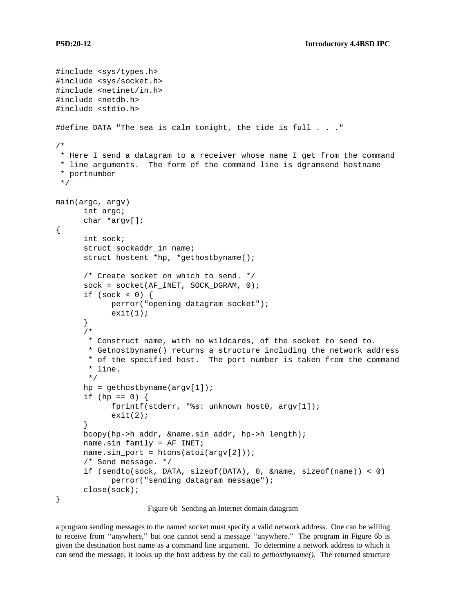```
#include <sys/types.h>
#include <sys/socket.h>
#include <netinet/in.h>
#include <netdb.h>
#include <stdio.h>
#define DATA "The sea is calm tonight, the tide is full . . ."
/*
 * Here I send a datagram to a receiver whose name I get from the command
 * line arguments. The form of the command line is dgramsend hostname
 * portnumber
 */
main(argc, argv)
      int argc;
      char *argv[];
{
      int sock;
      struct sockaddr_in name;
      struct hostent *hp, *gethostbyname();
      /* Create socket on which to send. */
      sock = socket(AF_INET, SOCK_DGRAM, 0);
      if (sock < 0) {
            perror("opening datagram socket");
            exit(1);
      }
      /*
       * Construct name, with no wildcards, of the socket to send to.
       * Getnostbyname() returns a structure including the network address
       * of the specified host. The port number is taken from the command
       * line.
       */
      hp = gethostbyname(argv[1]);
      if (hp == 0) {
            fprintf(stderr, "%s: unknown host0, argv[1]);
            exit(2);}
      bcopy(hp->h_addr, &name.sin_addr, hp->h_length);
      name.sin_family = AF_INET;
      name.sin_port = htons(atoi(argv[2]));
      /* Send message. */
      if (sendto(sock, DATA, sizeof(DATA), 0, &name, sizeof(name)) < 0)
            perror("sending datagram message");
      close(sock);
}
```
Figure 6b Sending an Internet domain datagram

a program sending messages to the named socket must specify a valid network address. One can be willing to receive from ''anywhere,'' but one cannot send a message ''anywhere.'' The program in Figure 6b is given the destination host name as a command line argument. To determine a network address to which it can send the message, it looks up the host address by the call to *gethostbyname()*. The returned structure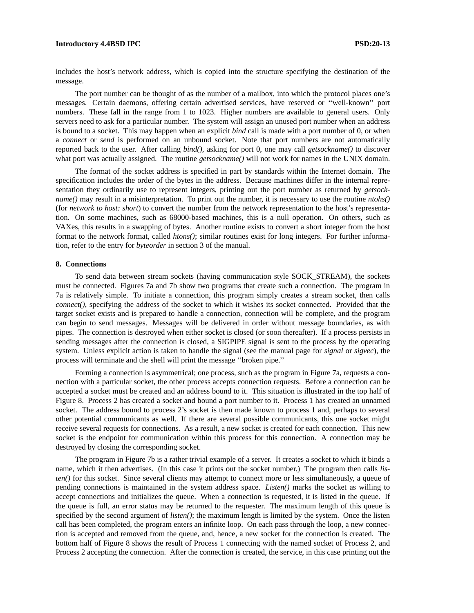#### **Introductory 4.4BSD IPC PSD:20-13**

includes the host's network address, which is copied into the structure specifying the destination of the message.

The port number can be thought of as the number of a mailbox, into which the protocol places one's messages. Certain daemons, offering certain advertised services, have reserved or ''well-known'' port numbers. These fall in the range from 1 to 1023. Higher numbers are available to general users. Only servers need to ask for a particular number. The system will assign an unused port number when an address is bound to a socket. This may happen when an explicit *bind* call is made with a port number of 0, or when a *connect* or *send* is performed on an unbound socket. Note that port numbers are not automatically reported back to the user. After calling *bind(),* asking for port 0, one may call *getsockname()* to discover what port was actually assigned. The routine *getsockname()* will not work for names in the UNIX domain.

The format of the socket address is specified in part by standards within the Internet domain. The specification includes the order of the bytes in the address. Because machines differ in the internal representation they ordinarily use to represent integers, printing out the port number as returned by *getsockname()* may result in a misinterpretation. To print out the number, it is necessary to use the routine *ntohs()* (for *network to host: short*) to convert the number from the network representation to the host's representation. On some machines, such as 68000-based machines, this is a null operation. On others, such as VAXes, this results in a swapping of bytes. Another routine exists to convert a short integer from the host format to the network format, called *htons()*; similar routines exist for long integers. For further information, refer to the entry for *byteorder* in section 3 of the manual.

### **8. Connections**

To send data between stream sockets (having communication style SOCK\_STREAM), the sockets must be connected. Figures 7a and 7b show two programs that create such a connection. The program in 7a is relatively simple. To initiate a connection, this program simply creates a stream socket, then calls *connect()*, specifying the address of the socket to which it wishes its socket connected. Provided that the target socket exists and is prepared to handle a connection, connection will be complete, and the program can begin to send messages. Messages will be delivered in order without message boundaries, as with pipes. The connection is destroyed when either socket is closed (or soon thereafter). If a process persists in sending messages after the connection is closed, a SIGPIPE signal is sent to the process by the operating system. Unless explicit action is taken to handle the signal (see the manual page for *signal* or *sigvec*), the process will terminate and the shell will print the message ''broken pipe.''

Forming a connection is asymmetrical; one process, such as the program in Figure 7a, requests a connection with a particular socket, the other process accepts connection requests. Before a connection can be accepted a socket must be created and an address bound to it. This situation is illustrated in the top half of Figure 8. Process 2 has created a socket and bound a port number to it. Process 1 has created an unnamed socket. The address bound to process 2's socket is then made known to process 1 and, perhaps to several other potential communicants as well. If there are several possible communicants, this one socket might receive several requests for connections. As a result, a new socket is created for each connection. This new socket is the endpoint for communication within this process for this connection. A connection may be destroyed by closing the corresponding socket.

The program in Figure 7b is a rather trivial example of a server. It creates a socket to which it binds a name, which it then advertises. (In this case it prints out the socket number.) The program then calls *listen()* for this socket. Since several clients may attempt to connect more or less simultaneously, a queue of pending connections is maintained in the system address space. *Listen()* marks the socket as willing to accept connections and initializes the queue. When a connection is requested, it is listed in the queue. If the queue is full, an error status may be returned to the requester. The maximum length of this queue is specified by the second argument of *listen()*; the maximum length is limited by the system. Once the listen call has been completed, the program enters an infinite loop. On each pass through the loop, a new connection is accepted and removed from the queue, and, hence, a new socket for the connection is created. The bottom half of Figure 8 shows the result of Process 1 connecting with the named socket of Process 2, and Process 2 accepting the connection. After the connection is created, the service, in this case printing out the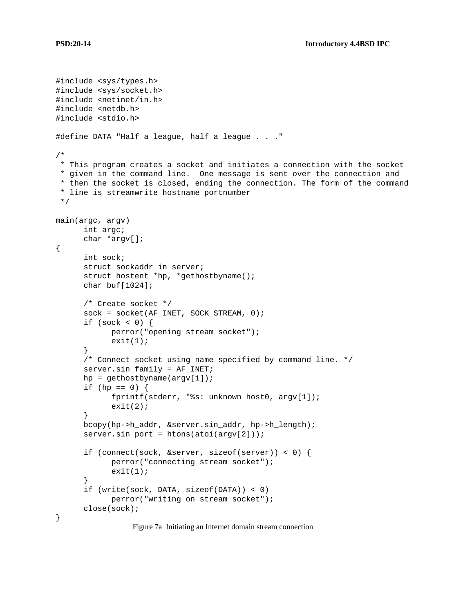```
#include <sys/types.h>
#include <sys/socket.h>
#include <netinet/in.h>
#include <netdb.h>
#include <stdio.h>
#define DATA "Half a league, half a league . . ."
/*
* This program creates a socket and initiates a connection with the socket
 * given in the command line. One message is sent over the connection and
 * then the socket is closed, ending the connection. The form of the command
 * line is streamwrite hostname portnumber
 */
main(argc, argv)
      int argc;
      char *argv[];
{
      int sock;
      struct sockaddr_in server;
      struct hostent *hp, *gethostbyname();
      char buf[1024];
      /* Create socket */
      sock = socket(AF_INET, SOCK_STREAM, 0);
      if (sock <0) {
            perror("opening stream socket");
            exit(1);}
      /* Connect socket using name specified by command line. */
      server.sin_family = AF_INET;
      hp = gethostbyname(argv[1]);
      if (hp == 0) {
            fprintf(stderr, "%s: unknown host0, argv[1]);
            exit(2);}
      bcopy(hp->h_addr, &server.sin_addr, hp->h_length);
      server.sin_port = htons(atoi(argv[2]));
      if (connect(sock, &server, sizeof(server)) < 0) {
            perror("connecting stream socket");
            exit(1);}
      if (write(sock, DATA, sizeof(DATA)) < 0)
            perror("writing on stream socket");
      close(sock);
}
```
Figure 7a Initiating an Internet domain stream connection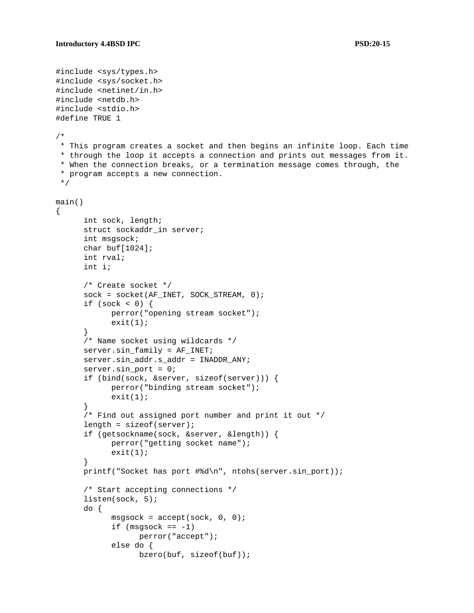```
#include <sys/types.h>
#include <sys/socket.h>
#include <netinet/in.h>
#include <netdb.h>
#include <stdio.h>
#define TRUE 1
/*
 * This program creates a socket and then begins an infinite loop. Each time
 * through the loop it accepts a connection and prints out messages from it.
 * When the connection breaks, or a termination message comes through, the
 * program accepts a new connection.
 */
main()
{
      int sock, length;
      struct sockaddr_in server;
      int msgsock;
      char buf[1024];
      int rval;
      int i;
      /* Create socket */
      sock = socket(AF_INET, SOCK_STREAM, 0);
      if (sock \lt 0) {
            perror("opening stream socket");
            exit(1);}
      /* Name socket using wildcards */
      server.sin_family = AF_INET;
      server.sin_addr.s_addr = INADDR_ANY;
      server.sin_port = 0;
      if (bind(sock, &server, sizeof(server))) {
            perror("binding stream socket");
            exit(1);}
      /* Find out assigned port number and print it out */
      length = sizeof(server);
      if (getsockname(sock, &server, &length)) {
            perror("getting socket name");
            exit(1);}
      printf("Socket has port #%d\n", ntohs(server.sin_port));
      /* Start accepting connections */
      listen(sock, 5);
      do {
            msgsock = accept(sock, 0, 0);
            if (msgsock == -1)perror("accept");
            else do {
                  bzero(buf, sizeof(buf));
```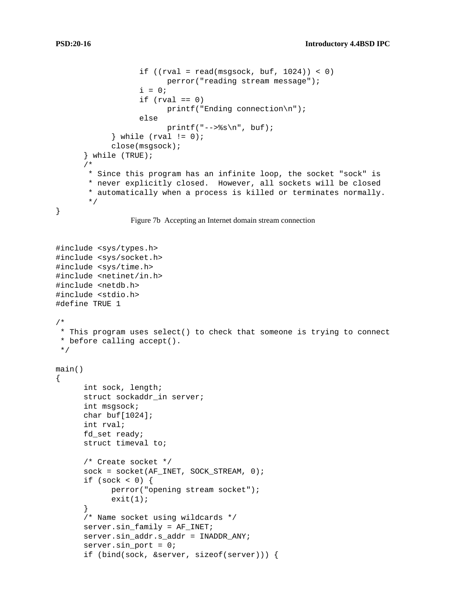```
if ((rval = read(msgsock, but, 1024)) < 0)perror("reading stream message");
                  i = 0;if (rval == 0)printf("Ending connection\n");
                  else
                        printf("--&s\nu", but);} while (rval != 0);
            close(msgsock);
      } while (TRUE);
      /*
       * Since this program has an infinite loop, the socket "sock" is
       * never explicitly closed. However, all sockets will be closed
       * automatically when a process is killed or terminates normally.
       */
}
```
Figure 7b Accepting an Internet domain stream connection

```
#include <sys/types.h>
#include <sys/socket.h>
#include <sys/time.h>
#include <netinet/in.h>
#include <netdb.h>
#include <stdio.h>
#define TRUE 1
/*
 * This program uses select() to check that someone is trying to connect
 * before calling accept().
 */
main()
{
      int sock, length;
      struct sockaddr_in server;
      int msgsock;
      char buf[1024];
      int rval;
      fd_set ready;
      struct timeval to;
      /* Create socket */
      sock = socket(AF_INET, SOCK_STREAM, 0);
      if (sock < 0) {
            perror("opening stream socket");
            exit(1);}
      /* Name socket using wildcards */
      server.sin_family = AF_INET;
      server.sin_addr.s_addr = INADDR_ANY;
      server.sin_port = 0;
      if (bind(sock, &server, sizeof(server))) {
```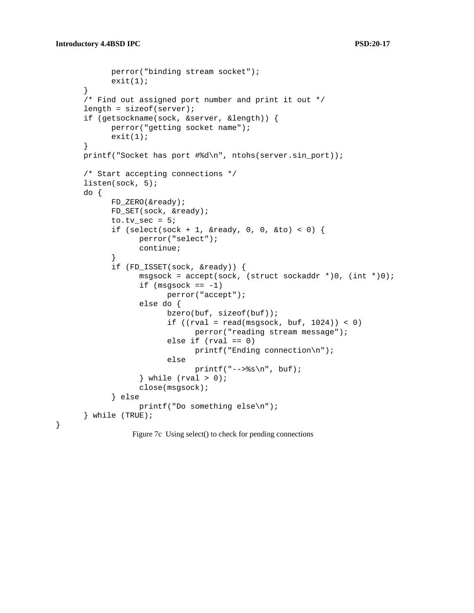}

```
perror("binding stream socket");
      exit(1);}
/* Find out assigned port number and print it out */
length = sizeof(server);
if (getsockname(sock, &server, &length)) {
      perror("getting socket name");
      exit(1);}
printf("Socket has port #%d\n", ntohs(server.sin_port));
/* Start accepting connections */
listen(sock, 5);
do {
      FD ZERO(&ready);
      FD_SET(sock, &ready);
      to.tv_sec = 5;
      if (select(sock + 1, &ready, 0, 0, &to) < 0) {
            perror("select");
            continue;
      }
      if (FD_ISSET(sock, &ready)) {
            msgsock = accept(sock, (struct sockaddr *)0, (int *)0);
            if (msgsock == -1)perror("accept");
            else do {
                  bzero(buf, sizeof(buf));
                  if ((rval = read(msgsock, but, 1024)) < 0)perror("reading stream message");
                  else if (rval == 0)printf("Ending connection\n");
                  else
                        printf("--&s\nu", but);} while (rval > 0);
            close(msgsock);
      } else
            printf("Do something else\n");
} while (TRUE);
```
Figure 7c Using select() to check for pending connections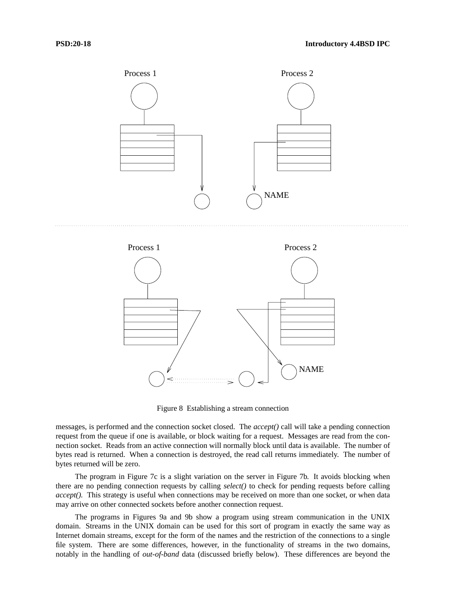

Figure 8 Establishing a stream connection

messages, is performed and the connection socket closed. The *accept()* call will take a pending connection request from the queue if one is available, or block waiting for a request. Messages are read from the connection socket. Reads from an active connection will normally block until data is available. The number of bytes read is returned. When a connection is destroyed, the read call returns immediately. The number of bytes returned will be zero.

The program in Figure 7c is a slight variation on the server in Figure 7b. It avoids blocking when there are no pending connection requests by calling *select()* to check for pending requests before calling *accept().* This strategy is useful when connections may be received on more than one socket, or when data may arrive on other connected sockets before another connection request.

The programs in Figures 9a and 9b show a program using stream communication in the UNIX domain. Streams in the UNIX domain can be used for this sort of program in exactly the same way as Internet domain streams, except for the form of the names and the restriction of the connections to a single file system. There are some differences, however, in the functionality of streams in the two domains, notably in the handling of *out-of-band* data (discussed briefly below). These differences are beyond the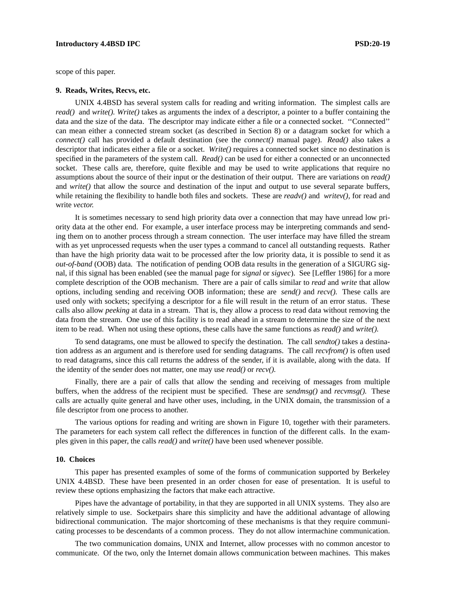# **Introductory 4.4BSD IPC PSD:20-19**

scope of this paper.

#### **9. Reads, Writes, Recvs, etc.**

UNIX 4.4BSD has several system calls for reading and writing information. The simplest calls are *read()* and *write(). Write()* takes as arguments the index of a descriptor, a pointer to a buffer containing the data and the size of the data. The descriptor may indicate either a file or a connected socket. ''Connected'' can mean either a connected stream socket (as described in Section 8) or a datagram socket for which a *connect()* call has provided a default destination (see the *connect()* manual page). *Read()* also takes a descriptor that indicates either a file or a socket. *Write()* requires a connected socket since no destination is specified in the parameters of the system call. *Read()* can be used for either a connected or an unconnected socket. These calls are, therefore, quite flexible and may be used to write applications that require no assumptions about the source of their input or the destination of their output. There are variations on *read()* and *write()* that allow the source and destination of the input and output to use several separate buffers, while retaining the flexibility to handle both files and sockets. These are *readv()* and *writev()*, for read and write *vector.*

It is sometimes necessary to send high priority data over a connection that may have unread low priority data at the other end. For example, a user interface process may be interpreting commands and sending them on to another process through a stream connection. The user interface may have filled the stream with as yet unprocessed requests when the user types a command to cancel all outstanding requests. Rather than have the high priority data wait to be processed after the low priority data, it is possible to send it as *out-of-band* (OOB) data. The notification of pending OOB data results in the generation of a SIGURG signal, if this signal has been enabled (see the manual page for *signal* or *sigvec*). See [Leffler 1986] for a more complete description of the OOB mechanism. There are a pair of calls similar to *read* and *write* that allow options, including sending and receiving OOB information; these are *send()* and *recv().* These calls are used only with sockets; specifying a descriptor for a file will result in the return of an error status. These calls also allow *peeking* at data in a stream. That is, they allow a process to read data without removing the data from the stream. One use of this facility is to read ahead in a stream to determine the size of the next item to be read. When not using these options, these calls have the same functions as *read()* and *write().*

To send datagrams, one must be allowed to specify the destination. The call *sendto()* takes a destination address as an argument and is therefore used for sending datagrams. The call *recvfrom()* is often used to read datagrams, since this call returns the address of the sender, if it is available, along with the data. If the identity of the sender does not matter, one may use *read()* or *recv().*

Finally, there are a pair of calls that allow the sending and receiving of messages from multiple buffers, when the address of the recipient must be specified. These are *sendmsg()* and *recvmsg().* These calls are actually quite general and have other uses, including, in the UNIX domain, the transmission of a file descriptor from one process to another.

The various options for reading and writing are shown in Figure 10, together with their parameters. The parameters for each system call reflect the differences in function of the different calls. In the examples given in this paper, the calls *read()* and *write()* have been used whenever possible.

#### **10. Choices**

This paper has presented examples of some of the forms of communication supported by Berkeley UNIX 4.4BSD. These have been presented in an order chosen for ease of presentation. It is useful to review these options emphasizing the factors that make each attractive.

Pipes have the advantage of portability, in that they are supported in all UNIX systems. They also are relatively simple to use. Socketpairs share this simplicity and have the additional advantage of allowing bidirectional communication. The major shortcoming of these mechanisms is that they require communicating processes to be descendants of a common process. They do not allow intermachine communication.

The two communication domains, UNIX and Internet, allow processes with no common ancestor to communicate. Of the two, only the Internet domain allows communication between machines. This makes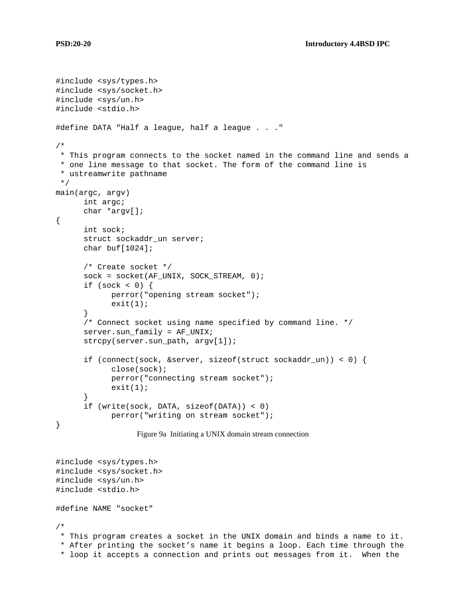```
#include <sys/types.h>
#include <sys/socket.h>
#include <sys/un.h>
#include <stdio.h>
#define DATA "Half a league, half a league . . ."
/*
 * This program connects to the socket named in the command line and sends a
* one line message to that socket. The form of the command line is
 * ustreamwrite pathname
 */
main(argc, argv)
     int argc;
     char *argv[];
{
      int sock;
      struct sockaddr_un server;
      char buf[1024];
      /* Create socket */
      sock = socket(AF_UNIX, SOCK_STREAM, 0);
      if (sock \lt 0) {
            perror("opening stream socket");
            exit(1);}
      /* Connect socket using name specified by command line. */
      server.sun_family = AF_UNIX;
      strcpy(server.sun_path, argv[1]);
      if (connect(sock, &server, sizeof(struct sockaddr_un)) < 0) {
            close(sock);
            perror("connecting stream socket");
            exit(1);}
      if (write(sock, DATA, sizeof(DATA)) < 0)
            perror("writing on stream socket");
}
                  Figure 9a Initiating a UNIX domain stream connection
```
#include <sys/types.h> #include <sys/socket.h> #include <sys/un.h> #include <stdio.h> #define NAME "socket" /\*

\* This program creates a socket in the UNIX domain and binds a name to it. \* After printing the socket's name it begins a loop. Each time through the \* loop it accepts a connection and prints out messages from it. When the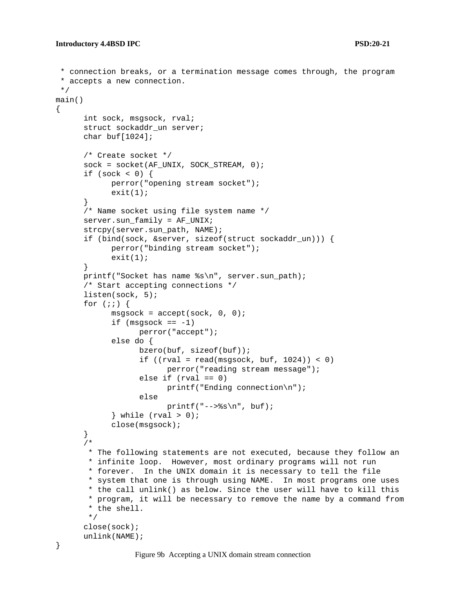```
* connection breaks, or a termination message comes through, the program
 * accepts a new connection.
 */
main()
{
      int sock, msgsock, rval;
      struct sockaddr_un server;
      char buf[1024];
      /* Create socket */
      sock = socket(AF_UNIX, SOCK_STREAM, 0);
      if (sock <0) {
            perror("opening stream socket");
            exit(1);}
      /* Name socket using file system name */
      server.sun_family = AF_UNIX;
      strcpy(server.sun_path, NAME);
      if (bind(sock, &server, sizeof(struct sockaddr_un))) {
            perror("binding stream socket");
            exit(1);}
      printf("Socket has name %s\n", server.sun_path);
      /* Start accepting connections */
      listen(sock, 5);
      for (i; j) {
            msgsock = accept(sock, 0, 0);
            if (msgsock == -1)perror("accept");
            else do {
                  bzero(buf, sizeof(buf));
                  if ((rval = read(msgsock, but, 1024)) < 0)perror("reading stream message");
                  else if (rval == 0)printf("Ending connection\n");
                  else
                        printf("-->\gammas\n", buf);
            } while (rval > 0);
            close(msgsock);
      }
      /*
       * The following statements are not executed, because they follow an
       * infinite loop. However, most ordinary programs will not run
       * forever. In the UNIX domain it is necessary to tell the file
       * system that one is through using NAME. In most programs one uses
       * the call unlink() as below. Since the user will have to kill this
       * program, it will be necessary to remove the name by a command from
       * the shell.
       */
      close(sock);
      unlink(NAME);
}
```
Figure 9b Accepting a UNIX domain stream connection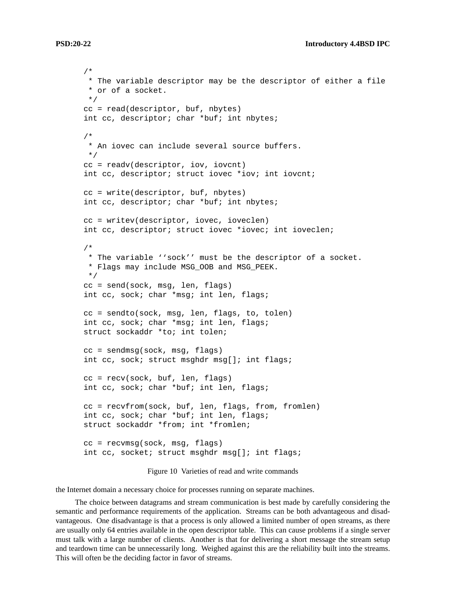```
/*
 * The variable descriptor may be the descriptor of either a file
 * or of a socket.
 */
cc = read(descriptor, buf, nbytes)
int cc, descriptor; char *buf; int nbytes;
/*
 * An iovec can include several source buffers.
 */
cc = readv(descriptor, iov, iovcnt)
int cc, descriptor; struct iovec *iov; int iovcnt;
cc = write(descriptor, buf, nbytes)
int cc, descriptor; char *buf; int nbytes;
cc = writev(descriptor, iovec, ioveclen)
int cc, descriptor; struct iovec *iovec; int ioveclen;
/*
 * The variable ''sock'' must be the descriptor of a socket.
 * Flags may include MSG_OOB and MSG_PEEK.
 */
cc = send(sock, msg, len, flags)
int cc, sock; char *msg; int len, flags;
cc = sendto(sock, msg, len, flags, to, tolen)
int cc, sock; char *msg; int len, flags;
struct sockaddr *to; int tolen;
cc = sendmsg(sock, msg, flags)
int cc, sock; struct msghdr msg[]; int flags;
cc = recv(sock, buf, len, flags)
int cc, sock; char *buf; int len, flags;
cc = recvfrom(sock, buf, len, flags, from, fromlen)
int cc, sock; char *buf; int len, flags;
struct sockaddr *from; int *fromlen;
cc = recvmsg(sock, msg, flags)
int cc, socket; struct msghdr msg[]; int flags;
```
Figure 10 Varieties of read and write commands

the Internet domain a necessary choice for processes running on separate machines.

The choice between datagrams and stream communication is best made by carefully considering the semantic and performance requirements of the application. Streams can be both advantageous and disadvantageous. One disadvantage is that a process is only allowed a limited number of open streams, as there are usually only 64 entries available in the open descriptor table. This can cause problems if a single server must talk with a large number of clients. Another is that for delivering a short message the stream setup and teardown time can be unnecessarily long. Weighed against this are the reliability built into the streams. This will often be the deciding factor in favor of streams.